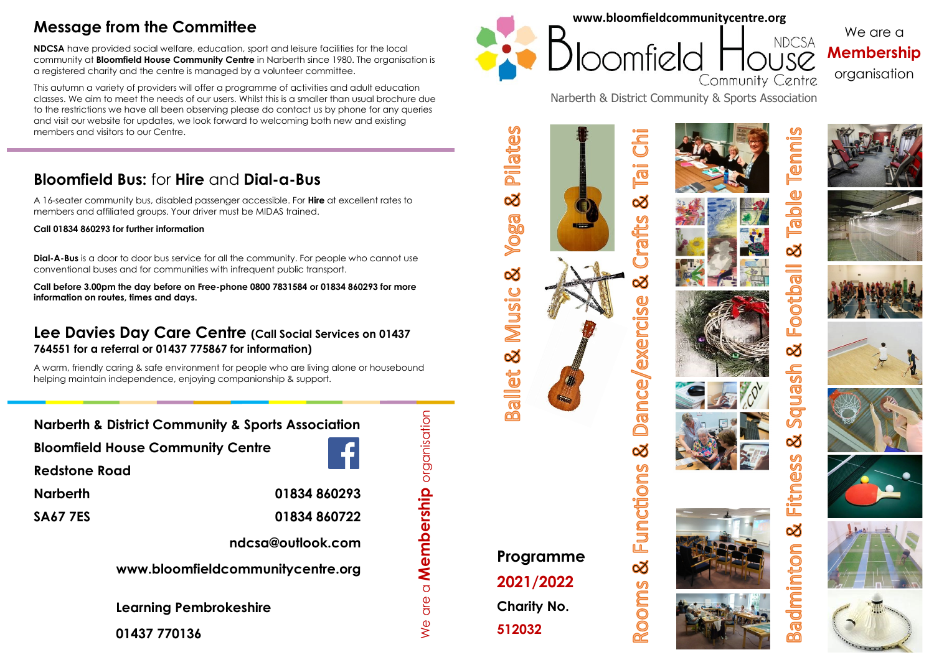## **Message from the Committee**

**NDCSA** have provided social welfare, education, sport and leisure facilities for the local community at **Bloomfield House Community Centre** in Narberth since 1980. The organisation is a registered charity and the centre is managed by a volunteer committee.

This autumn a variety of providers will offer a programme of activities and adult education classes. We aim to meet the needs of our users. Whilst this is a smaller than usual brochure due to the restrictions we have all been observing please do contact us by phone for any queries and visit our website for updates, we look forward to welcoming both new and existing members and visitors to our Centre.

## **Bloomfield Bus:** for **Hire** and **Dial-a-Bus**

A 16-seater community bus, disabled passenger accessible. For **Hire** at excellent rates to members and affiliated groups. Your driver must be MIDAS trained.

**Call 01834 860293 for further information** 

**Dial-A-Bus** is a door to door bus service for all the community. For people who cannot use conventional buses and for communities with infrequent public transport.

**Call before 3.00pm the day before on Free-phone 0800 7831584 or 01834 860293 for more information on routes, times and days.**

#### **Lee Davies Day Care Centre (Call Social Services on 01437 764551 for a referral or 01437 775867 for information)**

A warm, friendly caring & safe environment for people who are living alone or housebound helping maintain independence, enjoying companionship & support.

**Narberth & District Community & Sports Association**

**Bloomfield House Community Centre**



We are a **Membership** organisation

 $\sum$ 

are a **Membership** organisation

**Redstone Road**

**Narberth**

**SA67 7ES**

**ndcsa@outlook.com**

**01834 860293**

**01834 860722**

**www.bloomfieldcommunitycentre.org**

**Learning Pembrokeshire**

**01437 770136**



**Pilates** 

<u>ನ</u>

**Voga** 

ಹ

Music

8

Ballet

We are a **Membership** organisation

**NDCSA** 

Narberth & District Community & Sports Association